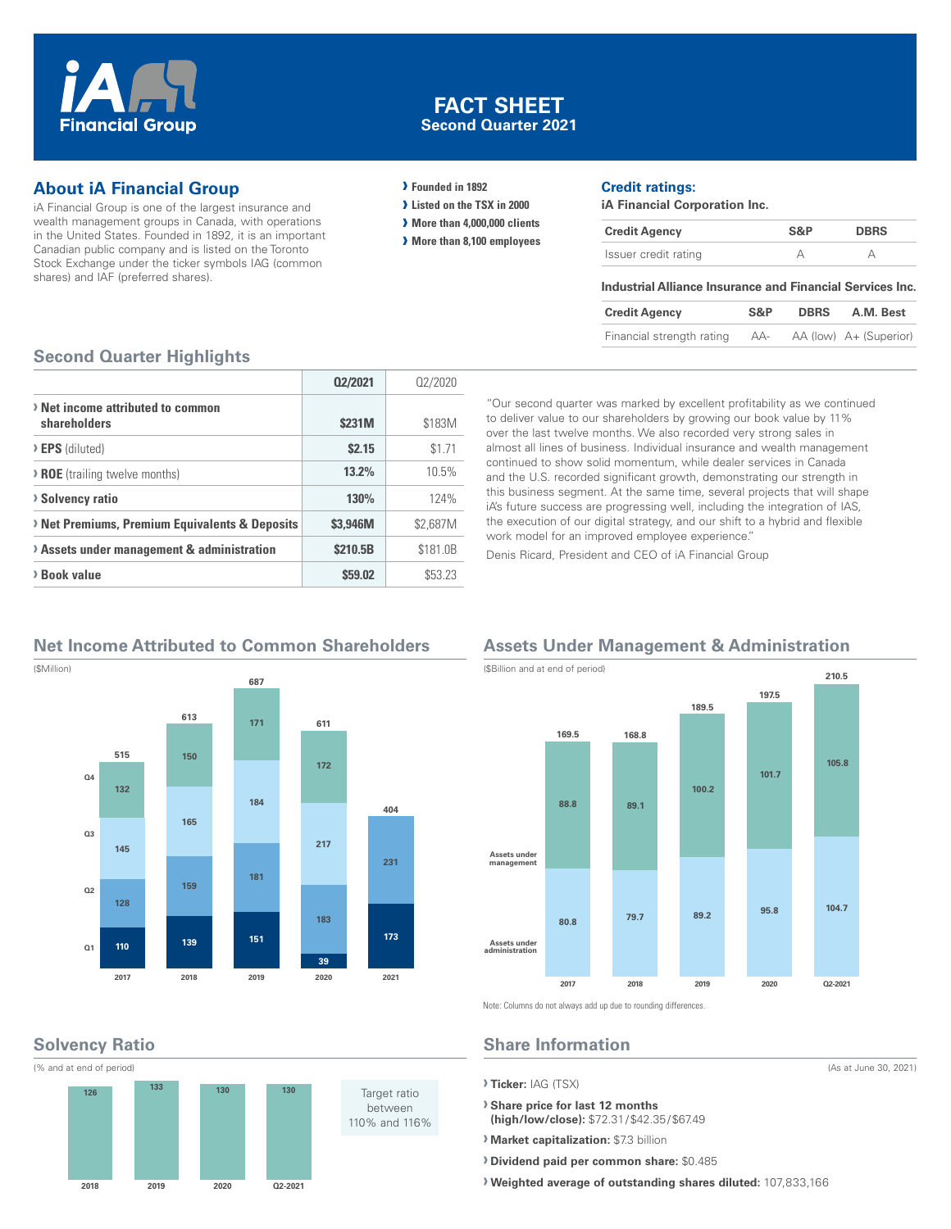

## **FACT SHEET Second Quarter 2021**

## **About iA Financial Group**

iA Financial Group is one of the largest insurance and wealth management groups in Canada, with operations in the United States. Founded in 1892, it is an important Canadian public company and is listed on the Toronto Stock Exchange under the ticker symbols IAG (common shares) and IAF (preferred shares).

#### **› Founded in 1892**

- **› Listed on the TSX in 2000**
- **› More than 4,000,000 clients**
- **› More than 8,100 employees**

#### **Credit ratings:**

**iA Financial Corporation Inc.**

| <b>Credit Agency</b> | S&P | <b>DBRS</b> |
|----------------------|-----|-------------|
| Issuer credit rating |     |             |

#### **Industrial Alliance Insurance and Financial Services Inc.**

| <b>Credit Agency</b>      | S&P | <b>DBRS</b> | A.M. Best              |
|---------------------------|-----|-------------|------------------------|
| Financial strength rating | AA- |             | AA (low) A+ (Superior) |

#### **Second Quarter Highlights**

|                                                   | 02/2021  | 02/2020  |
|---------------------------------------------------|----------|----------|
| > Net income attributed to common<br>shareholders | \$231M   | \$183M   |
| > EPS (diluted)                                   | \$2.15   | \$1.71   |
| > ROE (trailing twelve months)                    | 13.2%    | 10.5%    |
| > Solvency ratio                                  | 130%     | 124%     |
| > Net Premiums, Premium Equivalents & Deposits    | \$3.946M | \$2,687M |
| > Assets under management & administration        | \$210.5B | \$181.0B |
| > Book value                                      | \$59.02  | \$53.23  |

"Our second quarter was marked by excellent profitability as we continued to deliver value to our shareholders by growing our book value by 11% over the last twelve months. We also recorded very strong sales in almost all lines of business. Individual insurance and wealth management continued to show solid momentum, while dealer services in Canada and the U.S. recorded significant growth, demonstrating our strength in this business segment. At the same time, several projects that will shape iA's future success are progressing well, including the integration of IAS, the execution of our digital strategy, and our shift to a hybrid and flexible work model for an improved employee experience."

Denis Ricard, President and CEO of iA Financial Group

## **Net Income Attributed to Common Shareholders**



#### **Assets Under Management & Administration**



(As at June 30, 2021)

Note: Columns do not always add up due to rounding differences.

# **Share Information**

- **› Ticker:** IAG (TSX)
- **› Share price for last 12 months (high/low/close):** \$72.31/\$42.35/\$67.49
- **› Market capitalization:** \$7.3 billion
- **› Dividend paid per common share:** \$0.485
- **› Weighted average of outstanding shares diluted:** 107,833,166

**Solvency Ratio**